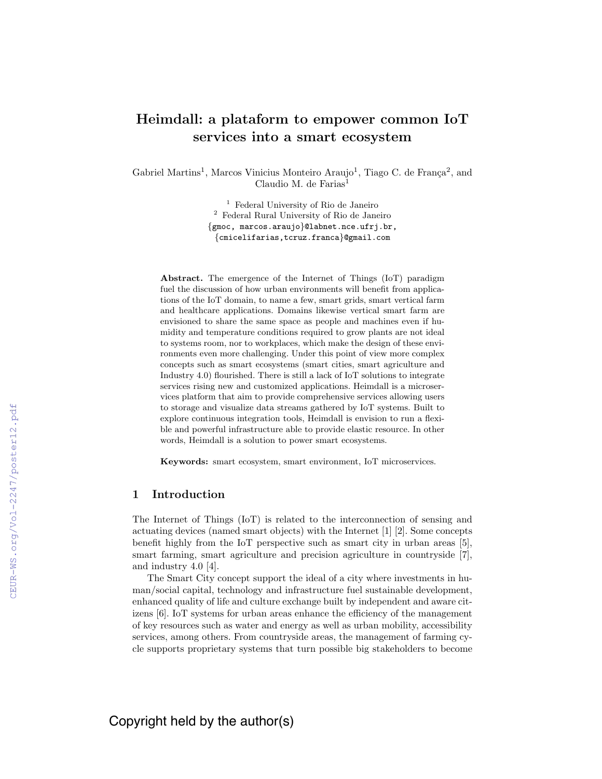# Heimdall: a plataform to empower common IoT services into a smart ecosystem

Gabriel Martins<sup>1</sup>, Marcos Vinicius Monteiro Araujo<sup>1</sup>, Tiago C. de França<sup>2</sup>, and Claudio M. de Farias $<sup>1</sup>$ </sup>

> <sup>1</sup> Federal University of Rio de Janeiro <sup>2</sup> Federal Rural University of Rio de Janeiro {gmoc, marcos.araujo}@labnet.nce.ufrj.br, {cmicelifarias,tcruz.franca}@gmail.com

Abstract. The emergence of the Internet of Things (IoT) paradigm fuel the discussion of how urban environments will benefit from applications of the IoT domain, to name a few, smart grids, smart vertical farm and healthcare applications. Domains likewise vertical smart farm are envisioned to share the same space as people and machines even if humidity and temperature conditions required to grow plants are not ideal to systems room, nor to workplaces, which make the design of these environments even more challenging. Under this point of view more complex concepts such as smart ecosystems (smart cities, smart agriculture and Industry 4.0) flourished. There is still a lack of IoT solutions to integrate services rising new and customized applications. Heimdall is a microservices platform that aim to provide comprehensive services allowing users to storage and visualize data streams gathered by IoT systems. Built to explore continuous integration tools, Heimdall is envision to run a flexible and powerful infrastructure able to provide elastic resource. In other words, Heimdall is a solution to power smart ecosystems.

Keywords: smart ecosystem, smart environment, IoT microservices.

## 1 Introduction

The Internet of Things (IoT) is related to the interconnection of sensing and actuating devices (named smart objects) with the Internet [1] [2]. Some concepts benefit highly from the IoT perspective such as smart city in urban areas [5], smart farming, smart agriculture and precision agriculture in countryside [7], and industry 4.0 [4].

The Smart City concept support the ideal of a city where investments in human/social capital, technology and infrastructure fuel sustainable development, enhanced quality of life and culture exchange built by independent and aware citizens [6]. IoT systems for urban areas enhance the efficiency of the management of key resources such as water and energy as well as urban mobility, accessibility services, among others. From countryside areas, the management of farming cycle supports proprietary systems that turn possible big stakeholders to become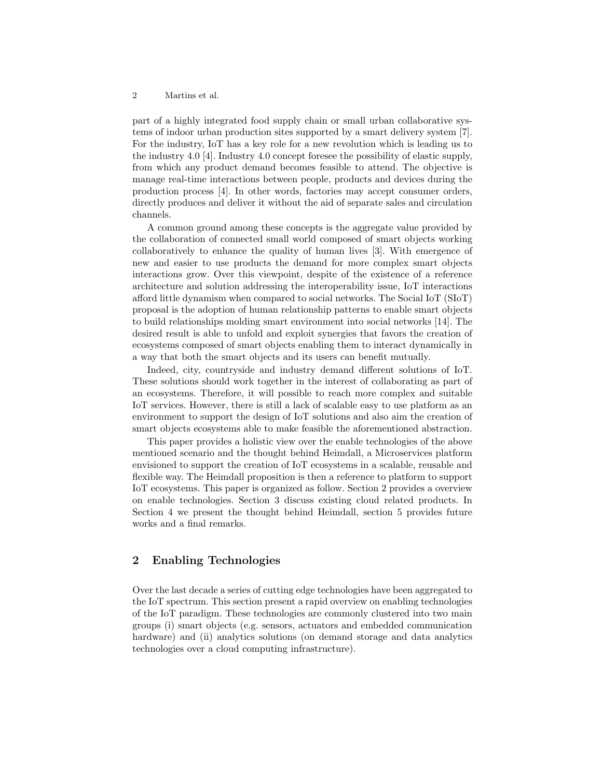### 2 Martins et al.

part of a highly integrated food supply chain or small urban collaborative systems of indoor urban production sites supported by a smart delivery system [7]. For the industry, IoT has a key role for a new revolution which is leading us to the industry 4.0 [4]. Industry 4.0 concept foresee the possibility of elastic supply, from which any product demand becomes feasible to attend. The objective is manage real-time interactions between people, products and devices during the production process [4]. In other words, factories may accept consumer orders, directly produces and deliver it without the aid of separate sales and circulation channels.

A common ground among these concepts is the aggregate value provided by the collaboration of connected small world composed of smart objects working collaboratively to enhance the quality of human lives [3]. With emergence of new and easier to use products the demand for more complex smart objects interactions grow. Over this viewpoint, despite of the existence of a reference architecture and solution addressing the interoperability issue, IoT interactions afford little dynamism when compared to social networks. The Social IoT (SIoT) proposal is the adoption of human relationship patterns to enable smart objects to build relationships molding smart environment into social networks [14]. The desired result is able to unfold and exploit synergies that favors the creation of ecosystems composed of smart objects enabling them to interact dynamically in a way that both the smart objects and its users can benefit mutually.

Indeed, city, countryside and industry demand different solutions of IoT. These solutions should work together in the interest of collaborating as part of an ecosystems. Therefore, it will possible to reach more complex and suitable IoT services. However, there is still a lack of scalable easy to use platform as an environment to support the design of IoT solutions and also aim the creation of smart objects ecosystems able to make feasible the aforementioned abstraction.

This paper provides a holistic view over the enable technologies of the above mentioned scenario and the thought behind Heimdall, a Microservices platform envisioned to support the creation of IoT ecosystems in a scalable, reusable and flexible way. The Heimdall proposition is then a reference to platform to support IoT ecosystems. This paper is organized as follow. Section 2 provides a overview on enable technologies. Section 3 discuss existing cloud related products. In Section 4 we present the thought behind Heimdall, section 5 provides future works and a final remarks.

# 2 Enabling Technologies

Over the last decade a series of cutting edge technologies have been aggregated to the IoT spectrum. This section present a rapid overview on enabling technologies of the IoT paradigm. These technologies are commonly clustered into two main groups (i) smart objects (e.g. sensors, actuators and embedded communication hardware) and (ii) analytics solutions (on demand storage and data analytics technologies over a cloud computing infrastructure).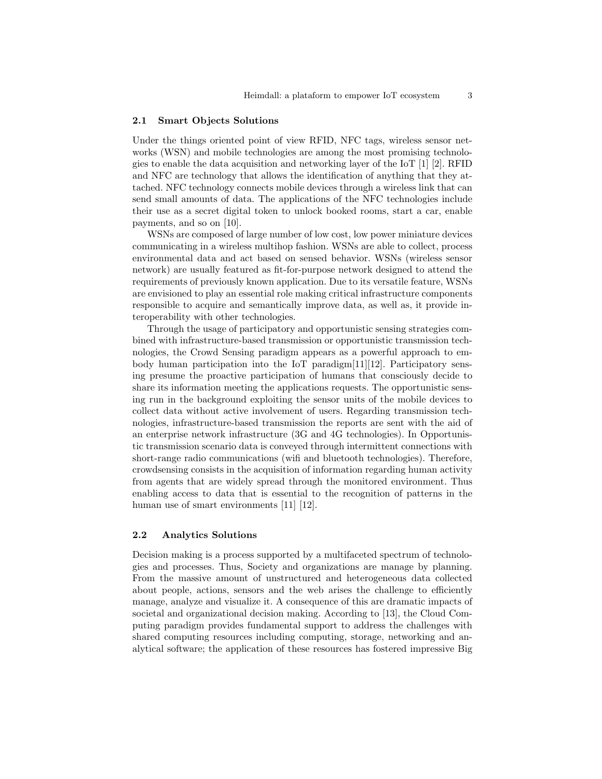## 2.1 Smart Objects Solutions

Under the things oriented point of view RFID, NFC tags, wireless sensor networks (WSN) and mobile technologies are among the most promising technologies to enable the data acquisition and networking layer of the IoT [1] [2]. RFID and NFC are technology that allows the identification of anything that they attached. NFC technology connects mobile devices through a wireless link that can send small amounts of data. The applications of the NFC technologies include their use as a secret digital token to unlock booked rooms, start a car, enable payments, and so on [10].

WSNs are composed of large number of low cost, low power miniature devices communicating in a wireless multihop fashion. WSNs are able to collect, process environmental data and act based on sensed behavior. WSNs (wireless sensor network) are usually featured as fit-for-purpose network designed to attend the requirements of previously known application. Due to its versatile feature, WSNs are envisioned to play an essential role making critical infrastructure components responsible to acquire and semantically improve data, as well as, it provide interoperability with other technologies.

Through the usage of participatory and opportunistic sensing strategies combined with infrastructure-based transmission or opportunistic transmission technologies, the Crowd Sensing paradigm appears as a powerful approach to embody human participation into the IoT paradigm $[11][12]$ . Participatory sensing presume the proactive participation of humans that consciously decide to share its information meeting the applications requests. The opportunistic sensing run in the background exploiting the sensor units of the mobile devices to collect data without active involvement of users. Regarding transmission technologies, infrastructure-based transmission the reports are sent with the aid of an enterprise network infrastructure (3G and 4G technologies). In Opportunistic transmission scenario data is conveyed through intermittent connections with short-range radio communications (wifi and bluetooth technologies). Therefore, crowdsensing consists in the acquisition of information regarding human activity from agents that are widely spread through the monitored environment. Thus enabling access to data that is essential to the recognition of patterns in the human use of smart environments [11] [12].

## 2.2 Analytics Solutions

Decision making is a process supported by a multifaceted spectrum of technologies and processes. Thus, Society and organizations are manage by planning. From the massive amount of unstructured and heterogeneous data collected about people, actions, sensors and the web arises the challenge to efficiently manage, analyze and visualize it. A consequence of this are dramatic impacts of societal and organizational decision making. According to [13], the Cloud Computing paradigm provides fundamental support to address the challenges with shared computing resources including computing, storage, networking and analytical software; the application of these resources has fostered impressive Big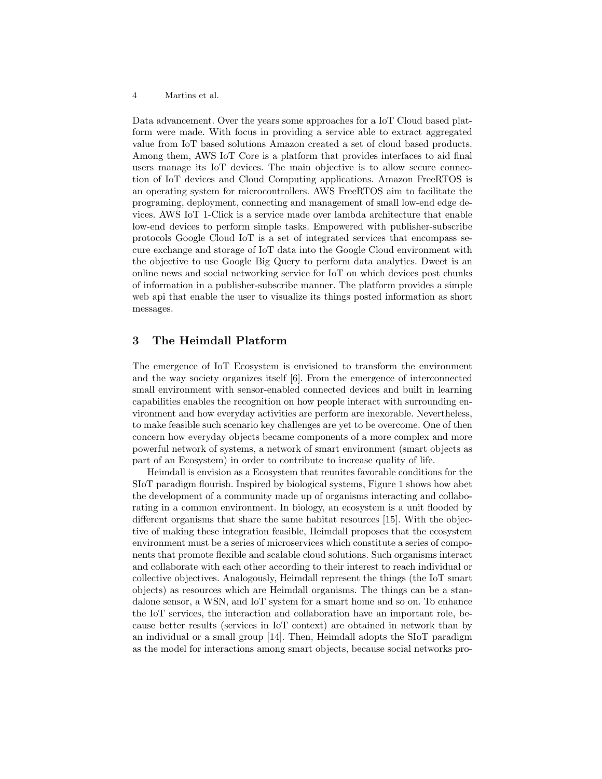### 4 Martins et al.

Data advancement. Over the years some approaches for a IoT Cloud based platform were made. With focus in providing a service able to extract aggregated value from IoT based solutions Amazon created a set of cloud based products. Among them, AWS IoT Core is a platform that provides interfaces to aid final users manage its IoT devices. The main objective is to allow secure connection of IoT devices and Cloud Computing applications. Amazon FreeRTOS is an operating system for microcontrollers. AWS FreeRTOS aim to facilitate the programing, deployment, connecting and management of small low-end edge devices. AWS IoT 1-Click is a service made over lambda architecture that enable low-end devices to perform simple tasks. Empowered with publisher-subscribe protocols Google Cloud IoT is a set of integrated services that encompass secure exchange and storage of IoT data into the Google Cloud environment with the objective to use Google Big Query to perform data analytics. Dweet is an online news and social networking service for IoT on which devices post chunks of information in a publisher-subscribe manner. The platform provides a simple web api that enable the user to visualize its things posted information as short messages.

# 3 The Heimdall Platform

The emergence of IoT Ecosystem is envisioned to transform the environment and the way society organizes itself [6]. From the emergence of interconnected small environment with sensor-enabled connected devices and built in learning capabilities enables the recognition on how people interact with surrounding environment and how everyday activities are perform are inexorable. Nevertheless, to make feasible such scenario key challenges are yet to be overcome. One of then concern how everyday objects became components of a more complex and more powerful network of systems, a network of smart environment (smart objects as part of an Ecosystem) in order to contribute to increase quality of life.

Heimdall is envision as a Ecosystem that reunites favorable conditions for the SIoT paradigm flourish. Inspired by biological systems, Figure 1 shows how abet the development of a community made up of organisms interacting and collaborating in a common environment. In biology, an ecosystem is a unit flooded by different organisms that share the same habitat resources [15]. With the objective of making these integration feasible, Heimdall proposes that the ecosystem environment must be a series of microservices which constitute a series of components that promote flexible and scalable cloud solutions. Such organisms interact and collaborate with each other according to their interest to reach individual or collective objectives. Analogously, Heimdall represent the things (the IoT smart objects) as resources which are Heimdall organisms. The things can be a standalone sensor, a WSN, and IoT system for a smart home and so on. To enhance the IoT services, the interaction and collaboration have an important role, because better results (services in IoT context) are obtained in network than by an individual or a small group [14]. Then, Heimdall adopts the SIoT paradigm as the model for interactions among smart objects, because social networks pro-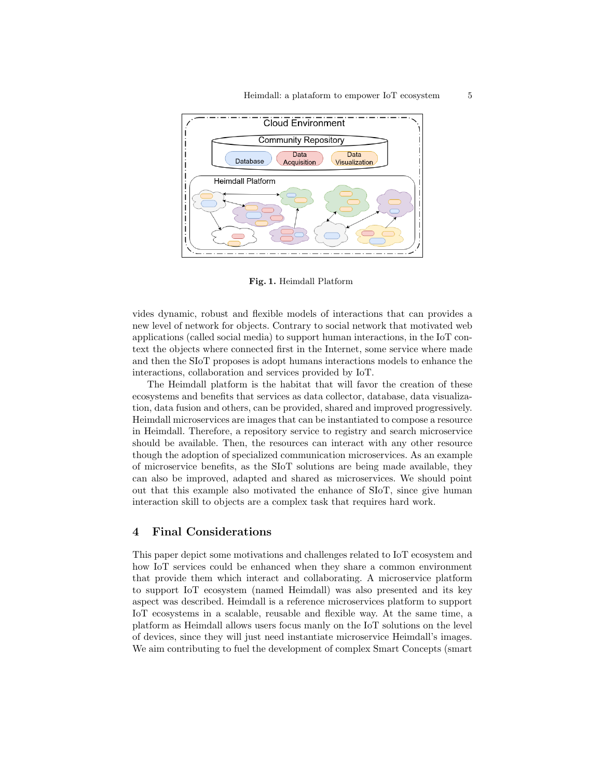

Fig. 1. Heimdall Platform

vides dynamic, robust and flexible models of interactions that can provides a new level of network for objects. Contrary to social network that motivated web applications (called social media) to support human interactions, in the IoT context the objects where connected first in the Internet, some service where made and then the SIoT proposes is adopt humans interactions models to enhance the interactions, collaboration and services provided by IoT.

The Heimdall platform is the habitat that will favor the creation of these ecosystems and benefits that services as data collector, database, data visualization, data fusion and others, can be provided, shared and improved progressively. Heimdall microservices are images that can be instantiated to compose a resource in Heimdall. Therefore, a repository service to registry and search microservice should be available. Then, the resources can interact with any other resource though the adoption of specialized communication microservices. As an example of microservice benefits, as the SIoT solutions are being made available, they can also be improved, adapted and shared as microservices. We should point out that this example also motivated the enhance of SIoT, since give human interaction skill to objects are a complex task that requires hard work.

## 4 Final Considerations

This paper depict some motivations and challenges related to IoT ecosystem and how IoT services could be enhanced when they share a common environment that provide them which interact and collaborating. A microservice platform to support IoT ecosystem (named Heimdall) was also presented and its key aspect was described. Heimdall is a reference microservices platform to support IoT ecosystems in a scalable, reusable and flexible way. At the same time, a platform as Heimdall allows users focus manly on the IoT solutions on the level of devices, since they will just need instantiate microservice Heimdall's images. We aim contributing to fuel the development of complex Smart Concepts (smart